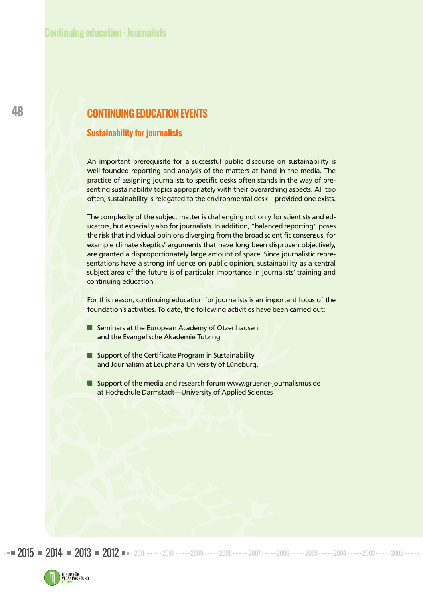# **CONTINUING EDUCATION EVENTS**

### **Sustainability for journalists**

An important prerequisite for a successful public discourse on sustainability is well-founded reporting and analysis of the matters at hand in the media. The practice of assigning journalists to specific desks often stands in the way of presenting sustainability topics appropriately with their overarching aspects. All too often, sustainability is relegated to the environmental desk—provided one exists.

The complexity of the subject matter is challenging not only for scientists and educators, but especially also for journalists. In addition, "balanced reporting" poses the risk that individual opinions diverging from the broad scientific consensus, for example climate skeptics' arguments that have long been disproven objectively, are granted a disproportionately large amount of space. Since journalistic representations have a strong influence on public opinion, sustainability as a central subject area of the future is of particular importance in journalists' training and continuing education.

For this reason, continuing education for journalists is an important focus of the foundation's activities. To date, the following activities have been carried out:

- Seminars at the European Academy of Otzenhausen and the Evangelische Akademie Tutzing
- **Support of the Certificate Program in Sustainability** and Journalism at Leuphana University of Lüneburg.
- Support of the media and research forum www.gruener-journalismus.de at Hochschule Darmstadt—University of Applied Sciences

2015 **2014 2013 2012 -** 2011 - 2010 - 2010 - 2010 - 2010 - 2010 - 2010 - 2011 - 2010 - 2010 - 2010 - 2010 - 2010 - 2010

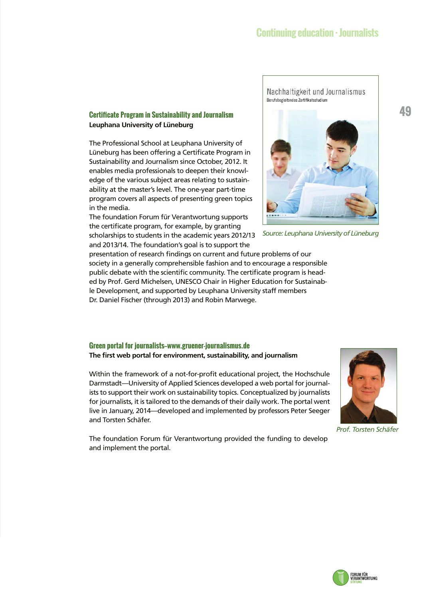Nachhaltigkeit und Journalismus

Berufsbegleitendes Zertifikatsstudium

*Source: Leuphana University of Lüneburg*

# **Certificate Program in Sustainability and Journalism and the conduction of the conduction of the conduction of the conduction of the conduction of the conduction of the conduction of the conduction of the conduction of th Leuphana University of Lüneburg**

The Professional School at Leuphana University of Lüneburg has been offering a Certificate Program in Sustainability and Journalism since October, 2012. It enables media professionals to deepen their knowledge of the various subject areas relating to sustainability at the master's level. The one-year part-time program covers all aspects of presenting green topics in the media.

The foundation Forum für Verantwortung supports the certificate program, for example, by granting scholarships to students in the academic years 2012/13

and 2013/14. The foundation's goal is to support the

presentation of research findings on current and future problems of our society in a generally comprehensible fashion and to encourage a responsible public debate with the scientific community. The certificate program is headed by Prof. Gerd Michelsen, UNESCO Chair in Higher Education for Sustainable Development, and supported by Leuphana University staff members Dr. Daniel Fischer (through 2013) and Robin Marwege.

### **Green portal for journalists—www.gruener-journalismus.de The first web portal for environment, sustainability, and journalism**

Within the framework of a not-for-profit educational project, the Hochschule Darmstadt—University of Applied Sciences developed a web portal for journalists to support their work on sustainability topics. Conceptualized by journalists for journalists, it is tailored to the demands of their daily work. The portal went live in January, 2014—developed and implemented by professors Peter Seeger and Torsten Schäfer.

*Prof. Torsten Schäfer*

The foundation Forum für Verantwortung provided the funding to develop and implement the portal.



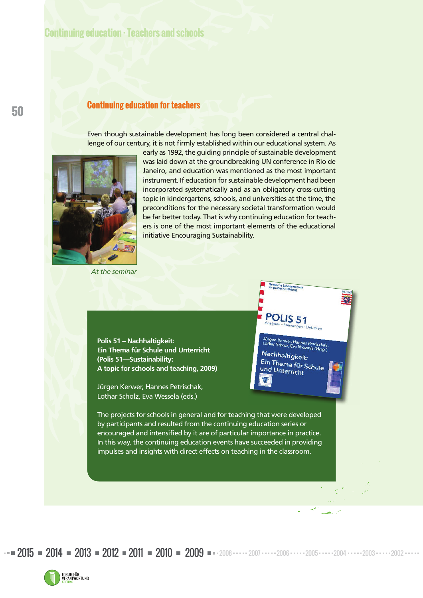# **Continuing education · Teachers and schools**

## **Continuing education for teachers**

Even though sustainable development has long been considered a central challenge of our century, it is not firmly established within our educational system. As



early as 1992, the guiding principle of sustainable development was laid down at the groundbreaking UN conference in Rio de Janeiro, and education was mentioned as the most important instrument. If education for sustainable development had been incorporated systematically and as an obligatory cross-cutting topic in kindergartens, schools, and universities at the time, the preconditions for the necessary societal transformation would be far better today. That is why continuing education for teachers is one of the most important elements of the educational initiative Encouraging Sustainability.

POLIS<sub>51</sub>

Nachhaltigkeit: Ein Thema für Schule<br>und Untersist Schule und Unterricht

<sup>rer,</sup> Hannes Petrischak<br><sup>z,</sup> Eva Wessela (Hrsg.)

*At the seminar*

**Polis 51 – Nachhaltigkeit: Ein Thema für Schule und Unterricht (Polis 51—Sustainability: A topic for schools and teaching, 2009)**

Jürgen Kerwer, Hannes Petrischak, Lothar Scholz, Eva Wessela (eds.)

The projects for schools in general and for teaching that were developed by participants and resulted from the continuing education series or encouraged and intensified by it are of particular importance in practice. In this way, the continuing education events have succeeded in providing impulses and insights with direct effects on teaching in the classroom.



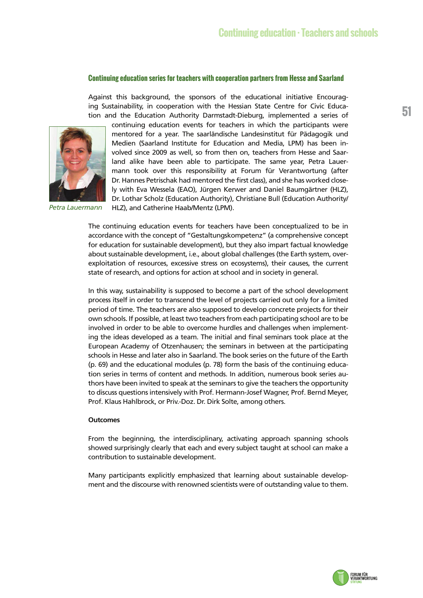#### **Continuing education series for teachers with cooperation partners from Hesse and Saarland**

Against this background, the sponsors of the educational initiative Encouraging Sustainability, in cooperation with the Hessian State Centre for Civic Education and the Education Authority Darmstadt-Dieburg, implemented a series of



*Petra Lauermann*

continuing education events for teachers in which the participants were mentored for a year. The saarländische Landesinstitut für Pädagogik und Medien (Saarland Institute for Education and Media, LPM) has been involved since 2009 as well, so from then on, teachers from Hesse and Saarland alike have been able to participate. The same year, Petra Lauermann took over this responsibility at Forum für Verantwortung (after Dr. Hannes Petrischak had mentored the first class), and she has worked closely with Eva Wessela (EAO), Jürgen Kerwer and Daniel Baumgärtner (HLZ), Dr. Lothar Scholz (Education Authority), Christiane Bull (Education Authority/ HLZ), and Catherine Haab/Mentz (LPM).

The continuing education events for teachers have been conceptualized to be in accordance with the concept of "Gestaltungskompetenz" (a comprehensive concept for education for sustainable development), but they also impart factual knowledge about sustainable development, i.e., about global challenges (the Earth system, overexploitation of resources, excessive stress on ecosystems), their causes, the current state of research, and options for action at school and in society in general.

In this way, sustainability is supposed to become a part of the school development process itself in order to transcend the level of projects carried out only for a limited period of time. The teachers are also supposed to develop concrete projects for their own schools. If possible, at least two teachers from each participating school are to be involved in order to be able to overcome hurdles and challenges when implementing the ideas developed as a team. The initial and final seminars took place at the European Academy of Otzenhausen; the seminars in between at the participating schools in Hesse and later also in Saarland. The book series on the future of the Earth (p. 69) and the educational modules (p. 78) form the basis of the continuing education series in terms of content and methods. In addition, numerous book series authors have been invited to speak at the seminars to give the teachers the opportunity to discuss questions intensively with Prof. Hermann-Josef Wagner, Prof. Bernd Meyer, Prof. Klaus Hahlbrock, or Priv.-Doz. Dr. Dirk Solte, among others.

#### **Outcomes**

From the beginning, the interdisciplinary, activating approach spanning schools showed surprisingly clearly that each and every subject taught at school can make a contribution to sustainable development.

Many participants explicitly emphasized that learning about sustainable development and the discourse with renowned scientists were of outstanding value to them.

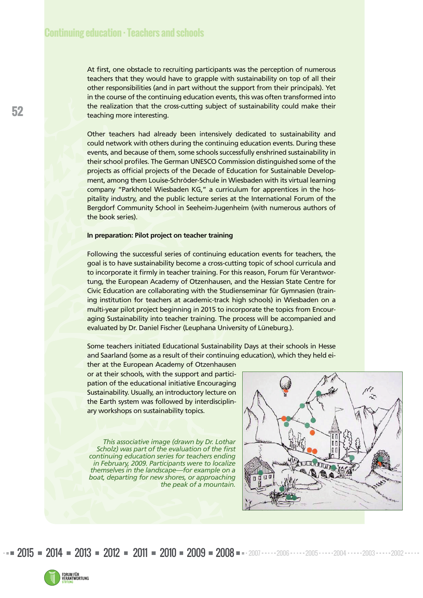At first, one obstacle to recruiting participants was the perception of numerous teachers that they would have to grapple with sustainability on top of all their other responsibilities (and in part without the support from their principals). Yet in the course of the continuing education events, this was often transformed into the realization that the cross-cutting subject of sustainability could make their teaching more interesting.

Other teachers had already been intensively dedicated to sustainability and could network with others during the continuing education events. During these events, and because of them, some schools successfully enshrined sustainability in their school profiles. The German UNESCO Commission distinguished some of the projects as official projects of the Decade of Education for Sustainable Development, among them Louise-Schröder-Schule in Wiesbaden with its virtual learning company "Parkhotel Wiesbaden KG," a curriculum for apprentices in the hospitality industry, and the public lecture series at the International Forum of the Bergdorf Community School in Seeheim-Jugenheim (with numerous authors of the book series).

#### **In preparation: Pilot project on teacher training**

Following the successful series of continuing education events for teachers, the goal is to have sustainability become a cross-cutting topic of school curricula and to incorporate it firmly in teacher training. For this reason, Forum für Verantwortung, the European Academy of Otzenhausen, and the Hessian State Centre for Civic Education are collaborating with the Studienseminar für Gymnasien (training institution for teachers at academic-track high schools) in Wiesbaden on a multi-year pilot project beginning in 2015 to incorporate the topics from Encouraging Sustainability into teacher training. The process will be accompanied and evaluated by Dr. Daniel Fischer (Leuphana University of Lüneburg.).

Some teachers initiated Educational Sustainability Days at their schools in Hesse and Saarland (some as a result of their continuing education), which they held ei-

ther at the European Academy of Otzenhausen or at their schools, with the support and participation of the educational initiative Encouraging Sustainability. Usually, an introductory lecture on the Earth system was followed by interdisciplinary workshops on sustainability topics.

*This associative image (drawn by Dr. Lothar Scholz) was part of the evaluation of the first continuing education series for teachers ending in February, 2009. Participants were to localize themselves in the landscape—for example on a boat, departing for new shores, or approaching the peak of a mountain.*



 $2015$  = 2014 = 2013 = 2012 = 2011 = 2010 = 2009 = 2008 = 2007  $\cdots$  2006  $\cdots$  2005 $\cdots$  2004  $\cdots$  2003  $\cdots$  2002

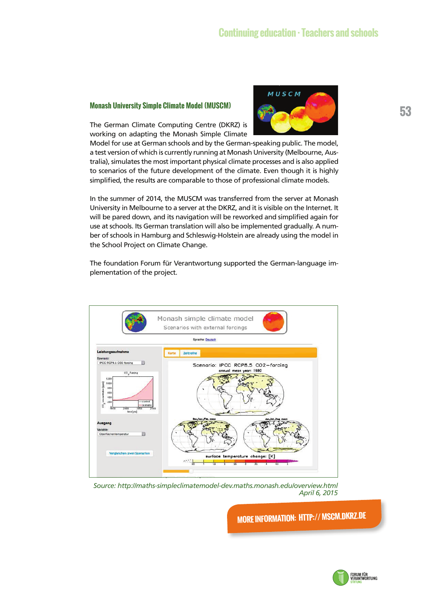# **Monash University Simple Climate Model (MUSCM) 1989 • 1999 • 1999 • 1999 • 1999 • 1999 • 1999 • 1999 • 1999 • 1999 • 1999 • 1999 • 1999 • 1999 • 1999 • 1999 • 1999 • 1999 • 1999 • 1999 • 1999 • 1999 • 1999 • 1999 • 1999**



The German Climate Computing Centre (DKRZ) is working on adapting the Monash Simple Climate

Model for use at German schools and by the German-speaking public. The model, a test version of which is currently running at Monash University (Melbourne, Australia), simulates the most important physical climate processes and is also applied to scenarios of the future development of the climate. Even though it is highly simplified, the results are comparable to those of professional climate models.

In the summer of 2014, the MUSCM was transferred from the server at Monash University in Melbourne to a server at the DKRZ, and it is visible on the Internet. It will be pared down, and its navigation will be reworked and simplified again for use at schools. Its German translation will also be implemented gradually. A number of schools in Hamburg and Schleswig-Holstein are already using the model in the School Project on Climate Change.

The foundation Forum für Verantwortung supported the German-language implementation of the project.



*Source: http://maths-simpleclimatemodel-dev.maths.monash.edu/overview.html April 6, 2015* 

**MORE INFORMATION: HTTP:// MSCM.DKRZ.DE**